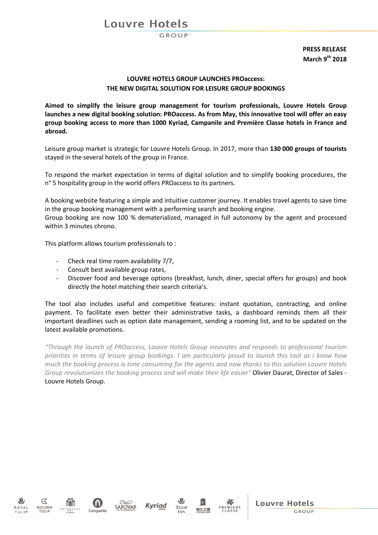Louvre Hotels

**PRESS RELEASE March 9 th 2018**

### **LOUVRE HOTELS GROUP LAUNCHES PROaccess: THE NEW DIGITAL SOLUTION FOR LEISURE GROUP BOOKINGS**

**Aimed to simplify the leisure group management for tourism professionals, Louvre Hotels Group launches a new digital booking solution: PROaccess. As from May, this innovative tool will offer an easy group booking access to more than 1000 Kyriad, Campanile and Première Classe hotels in France and abroad.**

Leisure group market is strategic for Louvre Hotels Group. In 2017, more than **130 000 groups of tourists** stayed in the several hotels of the group in France.

To respond the market expectation in terms of digital solution and to simplify booking procedures, the n° 5 hospitality group in the world offers PROaccess to its partners.

A booking website featuring a simple and intuitive customer journey. It enables travel agents to save time in the group booking management with a performing search and booking engine. Group booking are now 100 % dematerialized, managed in full autonomy by the agent and processed within 3 minutes chrono.

This platform allows tourism professionals to :

- Check real time room availability 7/7,
- Consult best available group rates,
- Discover food and beverage options (breakfast, lunch, diner, special offers for groups) and book directly the hotel matching their search criteria's.

The tool also includes useful and competitive features: instant quotation, contracting, and online payment. To facilitate even better their administrative tasks, a dashboard reminds them all their important deadlines such as option date management, sending a rooming list, and to be updated on the latest available promotions.

*"Through the launch of PROaccess, Louvre Hotels Group innovates and responds to professional tourism priorities in terms of leisure group bookings. I am particularly proud to launch this tool as I know how much the booking process is time consuming for the agents and now thanks to this solution Louvre Hotels Group revolutionizes the booking process and will make their life easier"* Olivier Daurat, Director of Sales - Louvre Hotels Group.